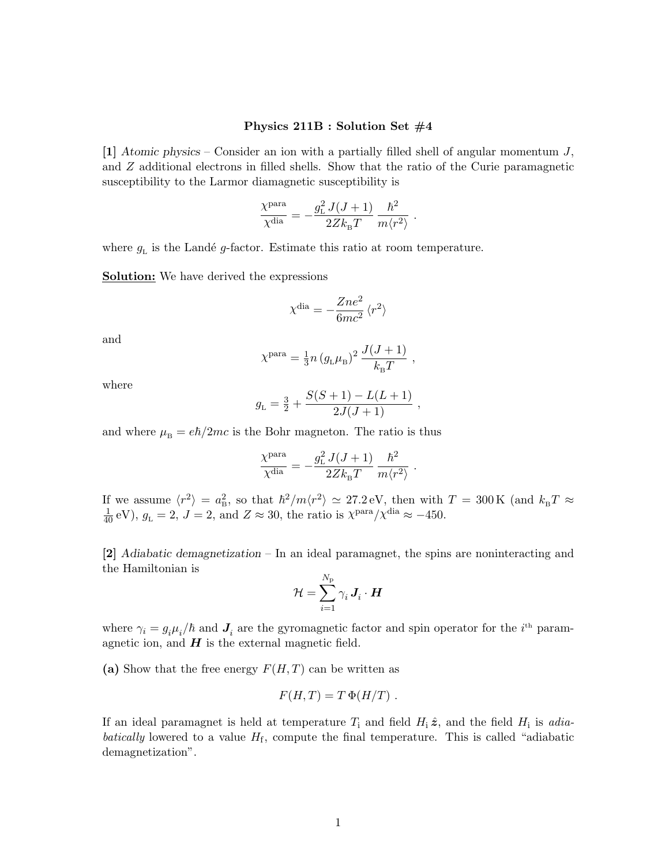## Physics 211B : Solution Set  $#4$

[1] Atomic physics – Consider an ion with a partially filled shell of angular momentum  $J$ , and Z additional electrons in filled shells. Show that the ratio of the Curie paramagnetic susceptibility to the Larmor diamagnetic susceptibility is

$$
\frac{\chi^{\rm para}}{\chi^{\rm dia}} = -\frac{g_{\rm L}^2\,J(J+1)}{2Z k_{\rm B} T}\,\frac{\hbar^2}{m \langle r^2 \rangle} \label{eq:chi} \vspace{0.1in}
$$

.

,

where  $g<sub>L</sub>$  is the Landé g-factor. Estimate this ratio at room temperature.

**Solution:** We have derived the expressions

$$
\chi^{\text{dia}}=-\frac{Z n e^2}{6 m c^2}\, \langle r^2 \rangle
$$

and

$$
\chi^{\text{para}} = \frac{1}{3} n (g_{\text{L}} \mu_{\text{B}})^2 \frac{J(J+1)}{k_{\text{B}} T}
$$

where

$$
g_{\rm L} = \frac{3}{2} + \frac{S(S+1) - L(L+1)}{2J(J+1)} ,
$$

and where  $\mu_B = e\hbar/2mc$  is the Bohr magneton. The ratio is thus

$$
\frac{\chi^{\text{para}}}{\chi^{\text{dia}}} = -\frac{g_{\text{\tiny L}}^2 J(J+1)}{2Z k_{\text{\tiny B}} T} \, \frac{\hbar^2}{m \langle r^2 \rangle} \ . \label{eq:chi}
$$

If we assume  $\langle r^2 \rangle = a_B^2$ , so that  $\hbar^2/m\langle r^2 \rangle \simeq 27.2 \text{ eV}$ , then with  $T = 300 \text{ K}$  (and  $k_B T \approx \frac{1}{40} \text{ eV}$ ),  $g_L = 2$ ,  $J = 2$ , and  $Z \approx 30$ , the ratio is  $\chi^{\text{para}} / \chi^{\text{dia}} \approx -450$ .

[2] Adiabatic demagnetization – In an ideal paramagnet, the spins are noninteracting and the Hamiltonian is  $\lambda$ <sub>7</sub>

$$
\mathcal{H} = \sum_{i=1}^{N_{\rm p}} \gamma_i \, \boldsymbol{J}_i \cdot \boldsymbol{H}
$$

where  $\gamma_i = g_i \mu_i / \hbar$  and  $J_i$  are the gyromagnetic factor and spin operator for the *i*<sup>th</sup> paramagnetic ion, and  $H$  is the external magnetic field.

(a) Show that the free energy  $F(H, T)$  can be written as

$$
F(H,T) = T \Phi(H/T) .
$$

If an ideal paramagnet is held at temperature  $T_i$  and field  $H_i \hat{z}$ , and the field  $H_i$  is adiabatically lowered to a value  $H<sub>f</sub>$ , compute the final temperature. This is called "adiabatic demagnetization".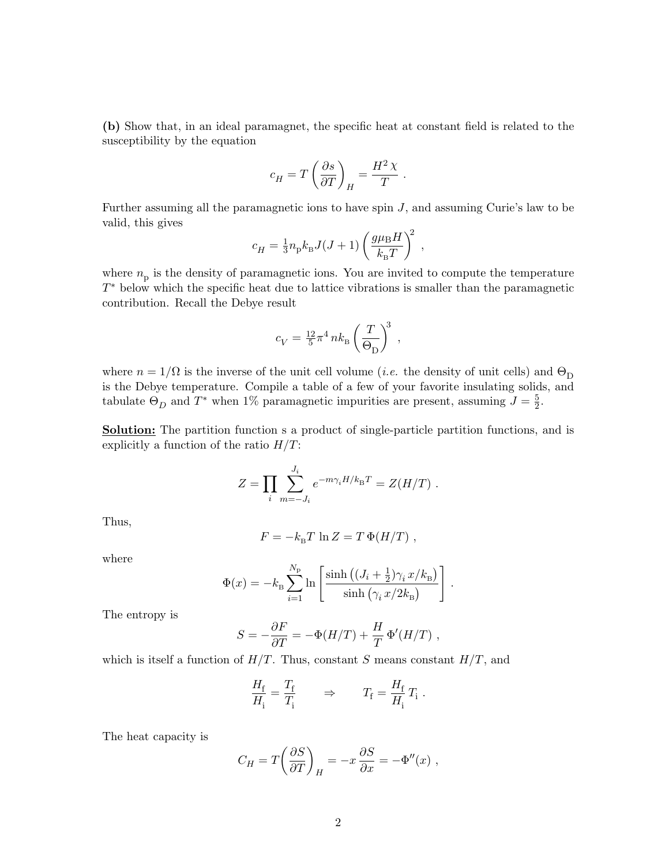(b) Show that, in an ideal paramagnet, the specific heat at constant field is related to the susceptibility by the equation

$$
c_H = T \left( \frac{\partial s}{\partial T} \right)_H = \frac{H^2 \chi}{T} .
$$

Further assuming all the paramagnetic ions to have spin J, and assuming Curie's law to be valid, this gives

$$
c_H = \frac{1}{3} n_{\rm p} k_{\rm B} J(J+1) \left( \frac{g \mu_{\rm B} H}{k_{\rm B} T} \right)^2 ,
$$

where  $n_{\rm p}$  is the density of paramagnetic ions. You are invited to compute the temperature  $T^*$  below which the specific heat due to lattice vibrations is smaller than the paramagnetic contribution. Recall the Debye result

$$
c_V = \frac{12}{5} \pi^4 n k_B \left(\frac{T}{\Theta_{\rm D}}\right)^3 \;,
$$

where  $n = 1/\Omega$  is the inverse of the unit cell volume (*i.e.* the density of unit cells) and  $\Theta_{\text{D}}$ is the Debye temperature. Compile a table of a few of your favorite insulating solids, and tabulate  $\Theta_D$  and  $T^*$  when 1% paramagnetic impurities are present, assuming  $J = \frac{5}{2}$  $\frac{5}{2}$ .

**Solution:** The partition function s a product of single-particle partition functions, and is explicitly a function of the ratio  $H/T$ :

$$
Z = \prod_{i} \sum_{m=-J_i}^{J_i} e^{-m\gamma_i H/k_{\rm B}T} = Z(H/T) \; .
$$

Thus,

$$
F = -k_{\rm B}T \ln Z = T \Phi(H/T) ,
$$

where

$$
\Phi(x) = -k_{\rm B} \sum_{i=1}^{N_{\rm p}} \ln \left[ \frac{\sinh\left((J_i + \frac{1}{2})\gamma_i x/k_{\rm B}\right)}{\sinh\left(\gamma_i x/2k_{\rm B}\right)} \right].
$$

The entropy is

$$
S = -\frac{\partial F}{\partial T} = -\Phi(H/T) + \frac{H}{T} \Phi'(H/T) ,
$$

which is itself a function of  $H/T$ . Thus, constant S means constant  $H/T$ , and

$$
\frac{H_{\rm f}}{H_{\rm i}} = \frac{T_{\rm f}}{T_{\rm i}} \qquad \Rightarrow \qquad T_{\rm f} = \frac{H_{\rm f}}{H_{\rm i}} T_{\rm i} \ .
$$

The heat capacity is

$$
C_H = T \left( \frac{\partial S}{\partial T} \right)_H = -x \frac{\partial S}{\partial x} = -\Phi''(x) ,
$$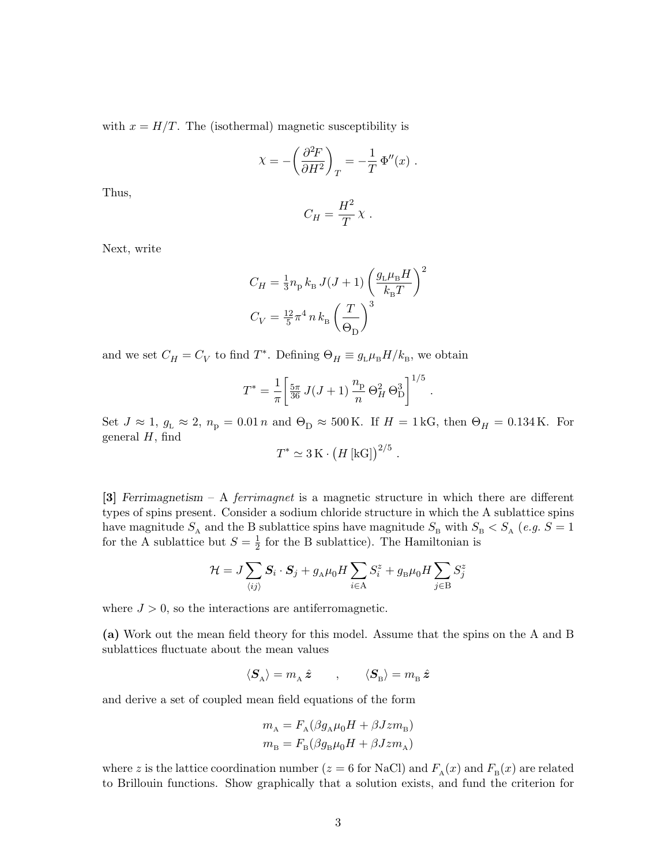with  $x = H/T$ . The (isothermal) magnetic susceptibility is

$$
\chi = -\left(\frac{\partial^2 F}{\partial H^2}\right)_T = -\frac{1}{T} \Phi''(x) .
$$

Thus,

$$
C_H = \frac{H^2}{T} \chi .
$$

Next, write

$$
C_H = \frac{1}{3} n_{\rm p} k_{\rm B} J(J+1) \left( \frac{g_{\rm L} \mu_{\rm B} H}{k_{\rm B} T} \right)^2
$$
  

$$
C_V = \frac{12}{5} \pi^4 n k_{\rm B} \left( \frac{T}{\Theta_{\rm D}} \right)^3
$$

and we set  $C_H = C_V$  to find  $T^*$ . Defining  $\Theta_H \equiv g_{\rm L} \mu_{\rm B} H / k_{\rm B}$ , we obtain

$$
T^* = \frac{1}{\pi} \left[ \frac{5\pi}{36} J(J+1) \frac{n_{\rm p}}{n} \Theta_H^2 \Theta_D^3 \right]^{1/5}.
$$

Set  $J \approx 1$ ,  $g_L \approx 2$ ,  $n_p = 0.01 n$  and  $\Theta_D \approx 500 \text{ K}$ . If  $H = 1 \text{ kG}$ , then  $\Theta_H = 0.134 \text{ K}$ . For general  $H$ , find

$$
T^* \simeq 3 \,\mathrm{K} \cdot \left( H \,\mathrm{[kG]} \right)^{2/5} \,.
$$

[3] Ferrimagnetism – A ferrimagnet is a magnetic structure in which there are different types of spins present. Consider a sodium chloride structure in which the A sublattice spins have magnitude  $S_A$  and the B sublattice spins have magnitude  $S_B$  with  $S_B < S_A$  (*e.g.*  $S = 1$ for the A sublattice but  $S=\frac{1}{2}$  $\frac{1}{2}$  for the B sublattice). The Hamiltonian is

$$
\mathcal{H} = J\sum_{\langle ij \rangle}\bm{S}_i\cdot\bm{S}_j + g_{\scriptscriptstyle{\text{A}}}\mu_0H\sum_{i\in{\text{A}}}S_i^z + g_{\scriptscriptstyle{\text{B}}}\mu_0H\sum_{j\in{\text{B}}}S_j^z
$$

where  $J > 0$ , so the interactions are antiferromagnetic.

(a) Work out the mean field theory for this model. Assume that the spins on the A and B sublattices fluctuate about the mean values

$$
\langle \pmb{S}_{\rm A} \rangle = m_{\rm A} \, \hat{\pmb{z}} \qquad , \qquad \langle \pmb{S}_{\rm B} \rangle = m_{\rm B} \, \hat{\pmb{z}}
$$

and derive a set of coupled mean field equations of the form

$$
m_{\rm A} = F_{\rm A}(\beta g_{\rm A}\mu_0 H + \beta Jzm_{\rm B})
$$

$$
m_{\rm B} = F_{\rm B}(\beta g_{\rm B}\mu_0 H + \beta Jzm_{\rm A})
$$

where z is the lattice coordination number ( $z = 6$  for NaCl) and  $F_A(x)$  and  $F_B(x)$  are related to Brillouin functions. Show graphically that a solution exists, and fund the criterion for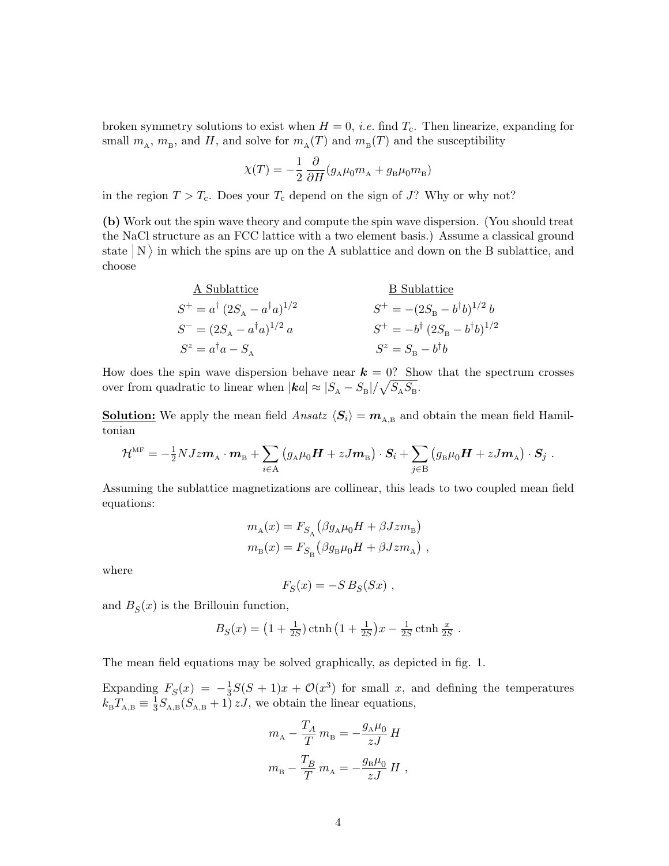broken symmetry solutions to exist when  $H = 0$ , *i.e.* find  $T_c$ . Then linearize, expanding for small  $m_A$ ,  $m_B$ , and  $H$ , and solve for  $m_A(T)$  and  $m_B(T)$  and the susceptibility

$$
\chi(T) = -\frac{1}{2} \frac{\partial}{\partial H} (g_A \mu_0 m_A + g_B \mu_0 m_B)
$$

in the region  $T > T_c$ . Does your  $T_c$  depend on the sign of J? Why or why not?

(b) Work out the spin wave theory and compute the spin wave dispersion. (You should treat the NaCl structure as an FCC lattice with a two element basis.) Assume a classical ground state  $|N\rangle$  in which the spins are up on the A sublattice and down on the B sublattice, and choose

| $A \text{ Sublattice}$                               | $B \text{ Sublattice}$                                |
|------------------------------------------------------|-------------------------------------------------------|
| $S^{+} = a^{\dagger} (2S_{A} - a^{\dagger} a)^{1/2}$ | $S^{+} = -(2S_{B} - b^{\dagger} b)^{1/2} b$           |
| $S^{-} = (2S_{A} - a^{\dagger} a)^{1/2} a$           | $S^{+} = -b^{\dagger} (2S_{B} - b^{\dagger} b)^{1/2}$ |
| $S^{z} = a^{\dagger} a - S_{A}$                      | $S^{z} = S_{B} - b^{\dagger} b$                       |

How does the spin wave dispersion behave near  $k = 0$ ? Show that the spectrum crosses over from quadratic to linear when  $|\mathbf{ka}| \approx |S_A - S_B| / \sqrt{S_A S_B}$ .

**Solution:** We apply the mean field  $Ansatz \langle S_i \rangle = m_{A,B}$  and obtain the mean field Hamiltonian

$$
\mathcal{H}^{\text{MF}} = -\frac{1}{2}NJz\boldsymbol{m}_{\text{A}}\cdot\boldsymbol{m}_{\text{B}} + \sum_{i\in \text{A}}\left(g_{\text{A}}\mu_0\boldsymbol{H} + zJ\boldsymbol{m}_{\text{B}}\right)\cdot\boldsymbol{S}_i + \sum_{j\in \text{B}}\left(g_{\text{B}}\mu_0\boldsymbol{H} + zJ\boldsymbol{m}_{\text{A}}\right)\cdot\boldsymbol{S}_j.
$$

Assuming the sublattice magnetizations are collinear, this leads to two coupled mean field equations:

$$
\begin{split} m_\mathrm{A}(x) &= F_{S_\mathrm{A}}\big(\beta g_\mathrm{A}\mu_0 H + \beta J z m_\mathrm{B}\big)\\ m_\mathrm{B}(x) &= F_{S_\mathrm{B}}\big(\beta g_\mathrm{B}\mu_0 H + \beta J z m_\mathrm{A}\big) \ , \end{split}
$$

where

$$
F_S(x) = -S B_S(Sx) ,
$$

and  $B_S(x)$  is the Brillouin function,

$$
B_S(x) = (1 + \frac{1}{2S}) \operatorname{ctnh} (1 + \frac{1}{2S})x - \frac{1}{2S} \operatorname{ctnh} \frac{x}{2S}.
$$

The mean field equations may be solved graphically, as depicted in fig. 1.

Expanding  $F_S(x) = -\frac{1}{3}$  $\frac{1}{3}S(S+1)x + \mathcal{O}(x^3)$  for small x, and defining the temperatures  $k_{\rm B}T_{\rm A,B}\equiv \frac{1}{3}$  $\frac{1}{3}S_{A,B}(S_{A,B}+1)zJ$ , we obtain the linear equations,

$$
m_{\text{A}} - \frac{T_A}{T} m_{\text{B}} = -\frac{g_{\text{A}}\mu_0}{zJ} H
$$
  

$$
m_{\text{B}} - \frac{T_B}{T} m_{\text{A}} = -\frac{g_{\text{B}}\mu_0}{zJ} H,
$$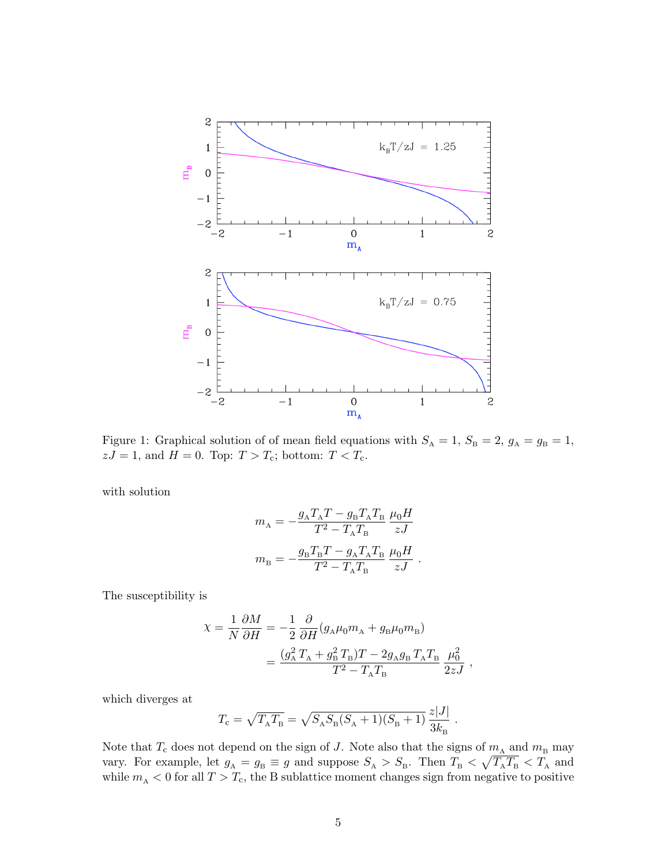

Figure 1: Graphical solution of of mean field equations with  $S_A = 1$ ,  $S_B = 2$ ,  $g_A = g_B = 1$ ,  $zJ = 1$ , and  $H = 0$ . Top:  $T > T_c$ ; bottom:  $T < T_c$ .

with solution

$$
\begin{aligned} m_\mathrm{A} &= -\frac{g_\mathrm{A}T_\mathrm{A}T-g_\mathrm{B}T_\mathrm{A}T_\mathrm{B}}{T^2-T_\mathrm{A}T_\mathrm{B}}\;\frac{\mu_0H}{zJ} \\ m_\mathrm{B} &= -\frac{g_\mathrm{B}T_\mathrm{B}T-g_\mathrm{A}T_\mathrm{A}T_\mathrm{B}}{T^2-T_\mathrm{A}T_\mathrm{B}}\;\frac{\mu_0H}{zJ} \end{aligned}
$$

.

.

The susceptibility is

$$
\begin{split} \chi &= \frac{1}{N}\frac{\partial M}{\partial H} = -\frac{1}{2}\frac{\partial}{\partial H}(g_{\text{\tiny A}}\mu_0 m_{\text{\tiny A}} + g_{\text{\tiny B}}\mu_0 m_{\text{\tiny B}}) \\ &= \frac{(g_{\text{\tiny A}}^2\,T_{\text{\tiny A}} + g_{\text{\tiny B}}^2\,T_{\text{\tiny B}})T - 2g_{\text{\tiny A}}g_{\text{\tiny B}}\,T_{\text{\tiny A}}T_{\text{\tiny B}}}{T^2 - T_{\text{\tiny A}}T_{\text{\tiny B}}} \,\frac{\mu_0^2}{2zJ} \ , \end{split}
$$

which diverges at

$$
T_{\rm c} = \sqrt{T_{\rm A} T_{\rm B}} = \sqrt{S_{\rm A} S_{\rm B} (S_{\rm A} + 1)(S_{\rm B} + 1)} \frac{z|J|}{3k_{\rm B}}
$$

Note that  $T_c$  does not depend on the sign of J. Note also that the signs of  $m_A$  and  $m_B$  may vary. For example, let  $g_A = g_B \equiv g$  and suppose  $S_A > S_B$ . Then  $T_B < \sqrt{T_A T_B} < T_A$  and while  $m_A < 0$  for all  $T > T_c$ , the B sublattice moment changes sign from negative to positive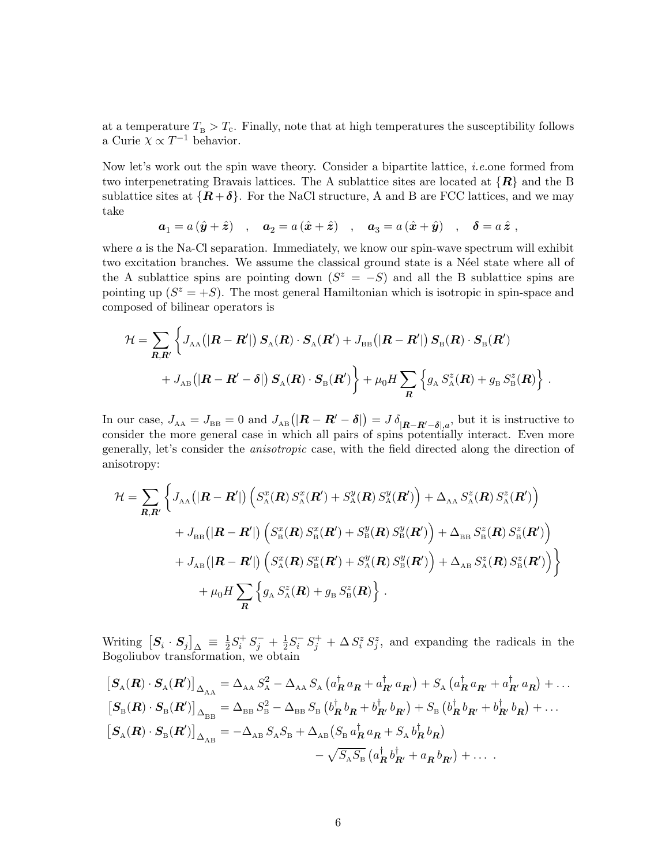at a temperature  $T_{\rm B} > T_{\rm c}$ . Finally, note that at high temperatures the susceptibility follows a Curie  $\chi \propto T^{-1}$  behavior.

Now let's work out the spin wave theory. Consider a bipartite lattice, i.e.one formed from two interpenetrating Bravais lattices. The A sublattice sites are located at  $\{R\}$  and the B sublattice sites at  $\{R+\delta\}$ . For the NaCl structure, A and B are FCC lattices, and we may take

$$
a_1 = a(\hat{\mathbf{y}} + \hat{\mathbf{z}})
$$
,  $a_2 = a(\hat{\mathbf{x}} + \hat{\mathbf{z}})$ ,  $a_3 = a(\hat{\mathbf{x}} + \hat{\mathbf{y}})$ ,  $\delta = a\hat{\mathbf{z}}$ ,

where  $a$  is the Na-Cl separation. Immediately, we know our spin-wave spectrum will exhibit two excitation branches. We assume the classical ground state is a N'eel state where all of the A sublattice spins are pointing down  $(S^z = -S)$  and all the B sublattice spins are pointing up  $(S^z = +S)$ . The most general Hamiltonian which is isotropic in spin-space and composed of bilinear operators is

$$
\mathcal{H} = \sum_{\mathbf{R},\mathbf{R}'} \left\{ J_{AA} \big( |\mathbf{R} - \mathbf{R}'| \big) \, \mathbf{S}_{A}(\mathbf{R}) \cdot \mathbf{S}_{A}(\mathbf{R}') + J_{\text{BB}} \big( |\mathbf{R} - \mathbf{R}'| \big) \, \mathbf{S}_{B}(\mathbf{R}) \cdot \mathbf{S}_{B}(\mathbf{R}') \right. \\ \left. + J_{AB} \big( |\mathbf{R} - \mathbf{R}' - \delta| \big) \, \mathbf{S}_{A}(\mathbf{R}) \cdot \mathbf{S}_{B}(\mathbf{R}') \right\} + \mu_{0} H \sum_{\mathbf{R}} \left\{ g_{A} \, S_{A}^{z}(\mathbf{R}) + g_{B} \, S_{B}^{z}(\mathbf{R}) \right\} \, .
$$

In our case,  $J_{AA} = J_{BB} = 0$  and  $J_{AB}(|\mathbf{R} - \mathbf{R}' - \boldsymbol{\delta}|) = J \delta_{|\mathbf{R} - \mathbf{R}' - \boldsymbol{\delta}|,a}$ , but it is instructive to consider the more general case in which all pairs of spins potentially interact. Even more generally, let's consider the anisotropic case, with the field directed along the direction of anisotropy:

$$
\mathcal{H} = \sum_{\mathbf{R},\mathbf{R}'} \left\{ J_{AA}(|\mathbf{R}-\mathbf{R}'|) \left( S_{\rm A}^x(\mathbf{R}) S_{\rm A}^x(\mathbf{R}') + S_{\rm A}^y(\mathbf{R}) S_{\rm A}^y(\mathbf{R}') \right) + \Delta_{AA} S_{\rm A}^z(\mathbf{R}) S_{\rm A}^z(\mathbf{R}') \right) + J_{\rm BB}(|\mathbf{R}-\mathbf{R}'|) \left( S_{\rm B}^x(\mathbf{R}) S_{\rm B}^x(\mathbf{R}') + S_{\rm B}^y(\mathbf{R}) S_{\rm B}^y(\mathbf{R}') \right) + \Delta_{\rm BB} S_{\rm B}^z(\mathbf{R}) S_{\rm B}^z(\mathbf{R}') \right) + J_{\rm AB}(|\mathbf{R}-\mathbf{R}'|) \left( S_{\rm A}^x(\mathbf{R}) S_{\rm B}^x(\mathbf{R}') + S_{\rm A}^y(\mathbf{R}) S_{\rm B}^y(\mathbf{R}') \right) + \Delta_{\rm AB} S_{\rm A}^z(\mathbf{R}) S_{\rm B}^z(\mathbf{R}') \right) + \mu_0 H \sum_{\mathbf{R}} \left\{ g_{\rm A} S_{\rm A}^z(\mathbf{R}) + g_{\rm B} S_{\rm B}^z(\mathbf{R}) \right\}.
$$

Writing  $\left[ \bm{S}_{i} \cdot \bm{S}_{j} \right]_{\Delta} \, \equiv \, \frac{1}{2}$  $\frac{1}{2}S_i^+S_j^- + \frac{1}{2}$  $\frac{1}{2}S_i^{\scriptscriptstyle{-}} S_j^{\scriptscriptstyle{+}} + \Delta S_i^z S_j^z$ , and expanding the radicals in the Bogoliubov transformation, we obtain

$$
\begin{split}\n\left[\mathbf{S}_{\text{A}}(\mathbf{R})\cdot\mathbf{S}_{\text{A}}(\mathbf{R}^{\prime})\right]_{\Delta_{\text{AA}}} &= \Delta_{\text{AA}} S_{\text{A}}^2 - \Delta_{\text{AA}} S_{\text{A}} \left(a_{\mathbf{R}}^{\dagger} a_{\mathbf{R}} + a_{\mathbf{R}^{\prime}}^{\dagger} a_{\mathbf{R}^{\prime}}\right) + S_{\text{A}} \left(a_{\mathbf{R}}^{\dagger} a_{\mathbf{R}^{\prime}} + a_{\mathbf{R}^{\prime}}^{\dagger} a_{\mathbf{R}}\right) + \dots \\
\left[\mathbf{S}_{\text{B}}(\mathbf{R})\cdot\mathbf{S}_{\text{B}}(\mathbf{R}^{\prime})\right]_{\Delta_{\text{BB}}} &= \Delta_{\text{BB}} S_{\text{B}}^2 - \Delta_{\text{BB}} S_{\text{B}} \left(b_{\mathbf{R}}^{\dagger} b_{\mathbf{R}} + b_{\mathbf{R}^{\prime}}^{\dagger} b_{\mathbf{R}^{\prime}}\right) + S_{\text{B}} \left(b_{\mathbf{R}}^{\dagger} b_{\mathbf{R}^{\prime}} + b_{\mathbf{R}^{\prime}}^{\dagger} b_{\mathbf{R}}\right) + \dots \\
\left[\mathbf{S}_{\text{A}}(\mathbf{R})\cdot\mathbf{S}_{\text{B}}(\mathbf{R}^{\prime})\right]_{\Delta_{\text{AB}}} &= -\Delta_{\text{AB}} S_{\text{A}} S_{\text{B}} + \Delta_{\text{AB}} \left(S_{\text{B}} a_{\mathbf{R}}^{\dagger} a_{\mathbf{R}} + S_{\text{A}} b_{\mathbf{R}}^{\dagger} b_{\mathbf{R}}\right) \\
&\quad - \sqrt{S_{\text{A}} S_{\text{B}}} \left(a_{\mathbf{R}}^{\dagger} b_{\mathbf{R}^{\prime}}^{\dagger} + a_{\mathbf{R}} b_{\mathbf{R}^{\prime}}\right) + \dots \,.\n\end{split}
$$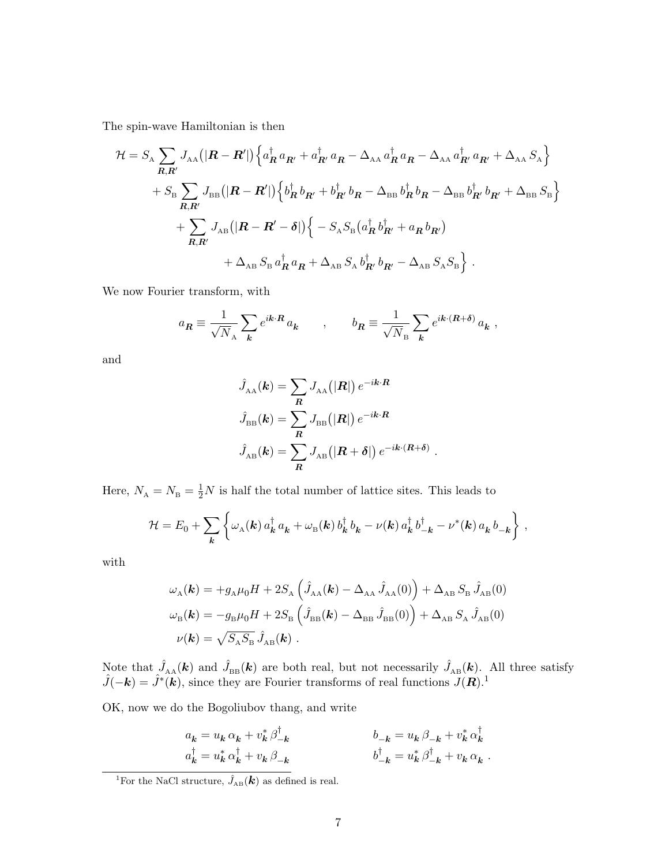The spin-wave Hamiltonian is then

$$
\mathcal{H} = S_{\rm A} \sum_{\mathbf{R}, \mathbf{R}'} J_{\rm AA} \left( \left| \mathbf{R} - \mathbf{R}' \right| \right) \left\{ a_{\mathbf{R}}^{\dagger} a_{\mathbf{R}'} + a_{\mathbf{R}'}^{\dagger} a_{\mathbf{R}} - \Delta_{\rm AA} a_{\mathbf{R}}^{\dagger} a_{\mathbf{R}} - \Delta_{\rm AA} a_{\mathbf{R}'}^{\dagger} a_{\mathbf{R}'} + \Delta_{\rm AA} S_{\rm A} \right\} + S_{\rm B} \sum_{\mathbf{R}, \mathbf{R}'} J_{\rm BB} \left( \left| \mathbf{R} - \mathbf{R}' \right| \right) \left\{ b_{\mathbf{R}}^{\dagger} b_{\mathbf{R}'} + b_{\mathbf{R}'}^{\dagger} b_{\mathbf{R}} - \Delta_{\rm BB} b_{\mathbf{R}}^{\dagger} b_{\mathbf{R}} - \Delta_{\rm BB} b_{\mathbf{R}'}^{\dagger} b_{\mathbf{R}'} + \Delta_{\rm BB} S_{\rm B} \right\} + \sum_{\mathbf{R}, \mathbf{R}'} J_{\rm AB} \left( \left| \mathbf{R} - \mathbf{R}' - \delta \right| \right) \left\{ - S_{\rm A} S_{\rm B} \left( a_{\mathbf{R}}^{\dagger} b_{\mathbf{R}'}^{\dagger} + a_{\mathbf{R}} b_{\mathbf{R}'} \right) + \Delta_{\rm AB} S_{\rm B} a_{\mathbf{R}}^{\dagger} a_{\mathbf{R}} + \Delta_{\rm AB} S_{\rm A} b_{\mathbf{R}'}^{\dagger} b_{\mathbf{R}'} - \Delta_{\rm AB} S_{\rm A} S_{\rm B} \right\}.
$$

We now Fourier transform, with

$$
a_{\pmb{R}} \equiv \frac{1}{\sqrt{N}_{\rm A}} \sum_{\pmb{k}} e^{i\pmb{k}\cdot\pmb{R}}\, a_{\pmb{k}} \qquad , \qquad b_{\pmb{R}} \equiv \frac{1}{\sqrt{N}_{\rm B}} \sum_{\pmb{k}} e^{i\pmb{k}\cdot(\pmb{R}+\pmb{\delta})}\, a_{\pmb{k}} \ ,
$$

and

$$
\hat{J}_{\text{AA}}(\mathbf{k}) = \sum_{\mathbf{R}} J_{\text{AA}}(|\mathbf{R}|) e^{-i\mathbf{k} \cdot \mathbf{R}}
$$

$$
\hat{J}_{\text{BB}}(\mathbf{k}) = \sum_{\mathbf{R}} J_{\text{BB}}(|\mathbf{R}|) e^{-i\mathbf{k} \cdot \mathbf{R}}
$$

$$
\hat{J}_{\text{AB}}(\mathbf{k}) = \sum_{\mathbf{R}} J_{\text{AB}}(|\mathbf{R} + \boldsymbol{\delta}|) e^{-i\mathbf{k} \cdot (\mathbf{R} + \boldsymbol{\delta})}.
$$

Here,  $N_A = N_B = \frac{1}{2}N$  is half the total number of lattice sites. This leads to

$$
\mathcal{H} = E_0 + \sum_{\mathbf{k}} \left\{ \omega_{\mathbf{A}}(\mathbf{k}) \, a_{\mathbf{k}}^\dagger \, a_{\mathbf{k}} + \omega_{\mathbf{B}}(\mathbf{k}) \, b_{\mathbf{k}}^\dagger \, b_{\mathbf{k}} - \nu(\mathbf{k}) \, a_{\mathbf{k}}^\dagger \, b_{-\mathbf{k}}^\dagger - \nu^*(\mathbf{k}) \, a_{\mathbf{k}} \, b_{-\mathbf{k}} \right\} \,,
$$

with

$$
\omega_{\rm A}(\mathbf{k}) = +g_{\rm A}\mu_0 H + 2S_{\rm A} \left(\hat{J}_{\rm AA}(\mathbf{k}) - \Delta_{\rm AA} \hat{J}_{\rm AA}(0)\right) + \Delta_{\rm AB} S_{\rm B} \hat{J}_{\rm AB}(0)
$$
  

$$
\omega_{\rm B}(\mathbf{k}) = -g_{\rm B}\mu_0 H + 2S_{\rm B} \left(\hat{J}_{\rm BB}(\mathbf{k}) - \Delta_{\rm BB} \hat{J}_{\rm BB}(0)\right) + \Delta_{\rm AB} S_{\rm A} \hat{J}_{\rm AB}(0)
$$
  

$$
\nu(\mathbf{k}) = \sqrt{S_{\rm A}S_{\rm B}} \hat{J}_{\rm AB}(\mathbf{k}) .
$$

Note that  $\hat{J}_{AA}(\mathbf{k})$  and  $\hat{J}_{BB}(\mathbf{k})$  are both real, but not necessarily  $\hat{J}_{AB}(\mathbf{k})$ . All three satisfy  $\hat{J}(-\mathbf{k}) = \hat{J}^*(\mathbf{k})$ , since they are Fourier transforms of real functions  $J(\mathbf{R})$ .<sup>1</sup>

OK, now we do the Bogoliubov thang, and write

$$
a_{\mathbf{k}} = u_{\mathbf{k}} \alpha_{\mathbf{k}} + v_{\mathbf{k}}^* \beta_{-\mathbf{k}}^{\dagger} a_{\mathbf{k}}^{\dagger} = u_{\mathbf{k}}^* \alpha_{\mathbf{k}}^{\dagger} + v_{\mathbf{k}} \beta_{-\mathbf{k}} \qquad b_{-\mathbf{k}} = u_{\mathbf{k}} \beta_{-\mathbf{k}} + v_{\mathbf{k}}^* \alpha_{\mathbf{k}}^{\dagger} b_{-\mathbf{k}}^{\dagger} = u_{\mathbf{k}}^* \beta_{-\mathbf{k}}^{\dagger} + v_{\mathbf{k}} \alpha_{\mathbf{k}}.
$$

<sup>&</sup>lt;sup>1</sup>For the NaCl structure,  $\hat{J}_{AB}(\boldsymbol{k})$  as defined is real.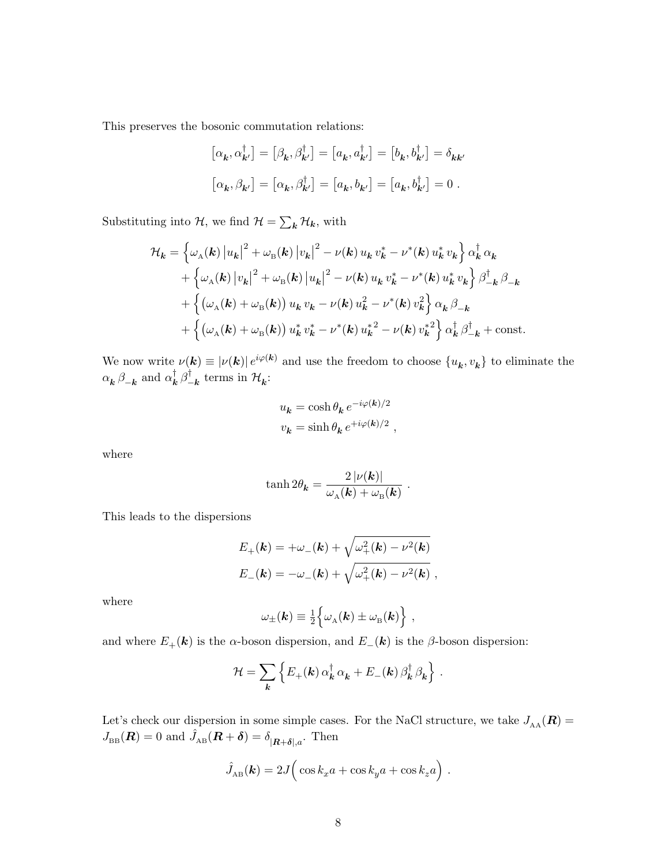This preserves the bosonic commutation relations:

$$
\begin{aligned}\n\left[\alpha_{\mathbf{k}}, \alpha_{\mathbf{k}'}^\dagger\right] &= \left[\beta_{\mathbf{k}}, \beta_{\mathbf{k}'}^\dagger\right] = \left[a_{\mathbf{k}}, a_{\mathbf{k}'}^\dagger\right] = \left[b_{\mathbf{k}}, b_{\mathbf{k}'}^\dagger\right] = \delta_{\mathbf{k}\mathbf{k}'} \\
\left[\alpha_{\mathbf{k}}, \beta_{\mathbf{k}'}\right] &= \left[\alpha_{\mathbf{k}}, \beta_{\mathbf{k}'}^\dagger\right] = \left[a_{\mathbf{k}}, b_{\mathbf{k}'}\right] = \left[a_{\mathbf{k}}, b_{\mathbf{k}'}^\dagger\right] = 0 \ .\n\end{aligned}
$$

Substituting into  $\mathcal{H}$ , we find  $\mathcal{H} = \sum_{k} \mathcal{H}_{k}$ , with

$$
\mathcal{H}_{\mathbf{k}} = \left\{ \omega_{\mathbf{A}}(\mathbf{k}) \left| u_{\mathbf{k}} \right|^{2} + \omega_{\mathbf{B}}(\mathbf{k}) \left| v_{\mathbf{k}} \right|^{2} - \nu(\mathbf{k}) u_{\mathbf{k}} v_{\mathbf{k}}^{*} - \nu^{*}(\mathbf{k}) u_{\mathbf{k}}^{*} v_{\mathbf{k}} \right\} \alpha_{\mathbf{k}}^{\dagger} \alpha_{\mathbf{k}} \n+ \left\{ \omega_{\mathbf{A}}(\mathbf{k}) \left| v_{\mathbf{k}} \right|^{2} + \omega_{\mathbf{B}}(\mathbf{k}) \left| u_{\mathbf{k}} \right|^{2} - \nu(\mathbf{k}) u_{\mathbf{k}} v_{\mathbf{k}}^{*} - \nu^{*}(\mathbf{k}) u_{\mathbf{k}}^{*} v_{\mathbf{k}} \right\} \beta_{-\mathbf{k}}^{\dagger} \beta_{-\mathbf{k}} \n+ \left\{ \left( \omega_{\mathbf{A}}(\mathbf{k}) + \omega_{\mathbf{B}}(\mathbf{k}) \right) u_{\mathbf{k}} v_{\mathbf{k}} - \nu(\mathbf{k}) u_{\mathbf{k}}^{2} - \nu^{*}(\mathbf{k}) v_{\mathbf{k}}^{2} \right\} \alpha_{\mathbf{k}} \beta_{-\mathbf{k}} \n+ \left\{ \left( \omega_{\mathbf{A}}(\mathbf{k}) + \omega_{\mathbf{B}}(\mathbf{k}) \right) u_{\mathbf{k}}^{*} v_{\mathbf{k}}^{*} - \nu^{*}(\mathbf{k}) u_{\mathbf{k}}^{*2} - \nu(\mathbf{k}) v_{\mathbf{k}}^{*2} \right\} \alpha_{\mathbf{k}}^{\dagger} \beta_{-\mathbf{k}}^{\dagger} + \text{const.}
$$

We now write  $\nu(\mathbf{k}) \equiv |\nu(\mathbf{k})| e^{i\varphi(\mathbf{k})}$  and use the freedom to choose  $\{u_{\mathbf{k}}, v_{\mathbf{k}}\}$  to eliminate the  $\alpha_{\boldsymbol{k}} \, \beta_{-\boldsymbol{k}}$  and  $\alpha_{\boldsymbol{k}}^{\dagger}$  $_{\bm{k}}^{\dagger}\,\beta_{-}^{\dagger}$  $\frac{1}{k}$  terms in  $\mathcal{H}_k$ :

$$
\label{eq:uk} \begin{split} u_{\pmb{k}}&=\cosh\theta_{\pmb{k}}\,e^{-i\varphi(\pmb{k})/2}\vspace{1mm}\\ v_{\pmb{k}}&=\sinh\theta_{\pmb{k}}\,e^{+i\varphi(\pmb{k})/2}\ , \end{split}
$$

where

$$
\tanh 2\theta_{\mathbf{k}} = \frac{2\left|\nu(\mathbf{k})\right|}{\omega_{\rm A}(\mathbf{k}) + \omega_{\rm B}(\mathbf{k})} \ .
$$

This leads to the dispersions

$$
E_{+}(\mathbf{k}) = +\omega_{-}(\mathbf{k}) + \sqrt{\omega_{+}^{2}(\mathbf{k}) - \nu^{2}(\mathbf{k})}
$$
  

$$
E_{-}(\mathbf{k}) = -\omega_{-}(\mathbf{k}) + \sqrt{\omega_{+}^{2}(\mathbf{k}) - \nu^{2}(\mathbf{k})},
$$

where

$$
\omega_{\pm}(\boldsymbol{k}) \equiv \frac{1}{2} \Big\{ \omega_{\text{A}}(\boldsymbol{k}) \pm \omega_{\text{B}}(\boldsymbol{k}) \Big\} \;,
$$

and where  $E_+(\boldsymbol{k})$  is the  $\alpha$ -boson dispersion, and  $E_-(\boldsymbol{k})$  is the  $\beta$ -boson dispersion:

$$
\mathcal{H} = \sum_{\mathbf{k}} \left\{ E_{+}(\mathbf{k}) \, \alpha_{\mathbf{k}}^{\dagger} \, \alpha_{\mathbf{k}} + E_{-}(\mathbf{k}) \, \beta_{\mathbf{k}}^{\dagger} \, \beta_{\mathbf{k}} \right\} \, .
$$

Let's check our dispersion in some simple cases. For the NaCl structure, we take  $J_{AA}(\mathbf{R}) =$  $J_{\text{\tiny BB}}(\mathbf{R}) = 0$  and  $\hat{J}_{AB}(\mathbf{R} + \boldsymbol{\delta}) = \delta_{|\mathbf{R} + \boldsymbol{\delta}|,a}$ . Then

$$
\hat{J}_{AB}(\mathbf{k}) = 2J\Big(\cos k_x a + \cos k_y a + \cos k_z a\Big).
$$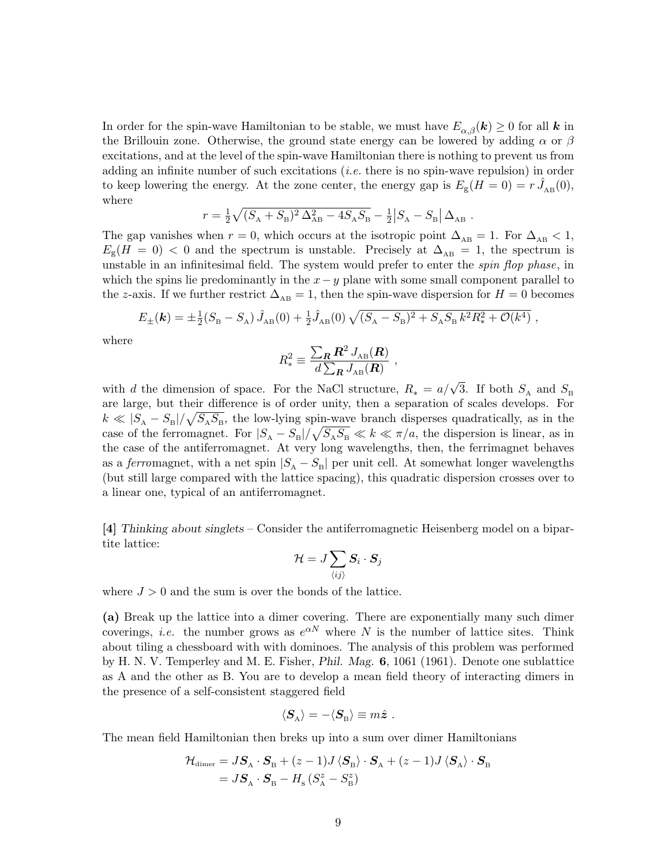In order for the spin-wave Hamiltonian to be stable, we must have  $E_{\alpha\beta}(\mathbf{k}) \geq 0$  for all k in the Brillouin zone. Otherwise, the ground state energy can be lowered by adding  $\alpha$  or  $\beta$ excitations, and at the level of the spin-wave Hamiltonian there is nothing to prevent us from adding an infinite number of such excitations (i.e. there is no spin-wave repulsion) in order to keep lowering the energy. At the zone center, the energy gap is  $E_{\rm g}(H=0) = r \hat{J}_{AB}(0)$ , where

$$
r = \frac{1}{2}\sqrt{(S_{A} + S_{B})^{2}\Delta_{AB}^{2} - 4S_{A}S_{B}} - \frac{1}{2}|S_{A} - S_{B}| \Delta_{AB}.
$$

The gap vanishes when  $r = 0$ , which occurs at the isotropic point  $\Delta_{AB} = 1$ . For  $\Delta_{AB} < 1$ ,  $E_{\rm g}(H = 0)$  < 0 and the spectrum is unstable. Precisely at  $\Delta_{\rm AB} = 1$ , the spectrum is unstable in an infinitesimal field. The system would prefer to enter the *spin flop phase*, in which the spins lie predominantly in the  $x-y$  plane with some small component parallel to the z-axis. If we further restrict  $\Delta_{AB} = 1$ , then the spin-wave dispersion for  $H = 0$  becomes

$$
E_{\pm}(\mathbf{k}) = \pm \frac{1}{2}(S_{\rm B} - S_{\rm A})\,\hat{J}_{\rm AB}(0) + \frac{1}{2}\hat{J}_{\rm AB}(0)\,\sqrt{(S_{\rm A} - S_{\rm B})^2 + S_{\rm A}S_{\rm B}\,k^2R_*^2 + \mathcal{O}(k^4)}\,,
$$

where

$$
R_*^2 \equiv \frac{\sum_{\mathbf{R}} \mathbf{R}^2 J_{AB}(\mathbf{R})}{d \sum_{\mathbf{R}} J_{AB}(\mathbf{R})} \;,
$$

with d the dimension of space. For the NaCl structure,  $R_* = a/\sqrt{3}$ . If both  $S_A$  and  $S_B$ are large, but their difference is of order unity, then a separation of scales develops. For  $k \ll |S_A - S_B| / \sqrt{S_A S_B}$ , the low-lying spin-wave branch disperses quadratically, as in the case of the ferromagnet. For  $|S_A - S_B| / \sqrt{S_A S_B} \ll k \ll \pi/a$ , the dispersion is linear, as in the case of the antiferromagnet. At very long wavelengths, then, the ferrimagnet behaves as a *ferromagnet*, with a net spin  $|S_A - S_B|$  per unit cell. At somewhat longer wavelengths (but still large compared with the lattice spacing), this quadratic dispersion crosses over to a linear one, typical of an antiferromagnet.

[4] Thinking about singlets – Consider the antiferromagnetic Heisenberg model on a bipartite lattice:

$$
\mathcal{H}=J\sum_{\langle ij\rangle}\bm{S}_i\cdot\bm{S}_j
$$

where  $J > 0$  and the sum is over the bonds of the lattice.

(a) Break up the lattice into a dimer covering. There are exponentially many such dimer coverings, *i.e.* the number grows as  $e^{\alpha N}$  where N is the number of lattice sites. Think about tiling a chessboard with with dominoes. The analysis of this problem was performed by H. N. V. Temperley and M. E. Fisher, Phil. Mag. 6, 1061 (1961). Denote one sublattice as A and the other as B. You are to develop a mean field theory of interacting dimers in the presence of a self-consistent staggered field

$$
\langle \boldsymbol{S}_{\text{\tiny A}} \rangle = - \langle \boldsymbol{S}_{\text{\tiny B}} \rangle \equiv m \hat{\boldsymbol{z}} \ .
$$

The mean field Hamiltonian then breks up into a sum over dimer Hamiltonians

$$
\begin{aligned} \mathcal{H}_{\text{dimer}} &= J\mathbf{S}_{\text{A}} \cdot \mathbf{S}_{\text{B}} + (z-1)J \left\langle \mathbf{S}_{\text{B}} \right\rangle \cdot \mathbf{S}_{\text{A}} + (z-1)J \left\langle \mathbf{S}_{\text{A}} \right\rangle \cdot \mathbf{S}_{\text{B}} \\ &= J\mathbf{S}_{\text{A}} \cdot \mathbf{S}_{\text{B}} - H_{\text{s}} \left( S_{\text{A}}^{z} - S_{\text{B}}^{z} \right) \end{aligned}
$$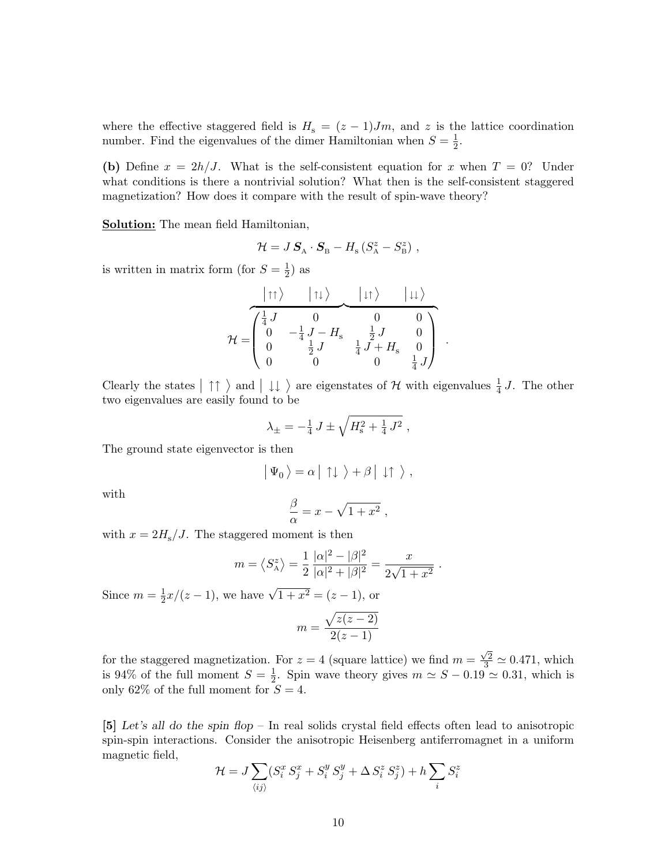where the effective staggered field is  $H_s = (z - 1)Jm$ , and z is the lattice coordination number. Find the eigenvalues of the dimer Hamiltonian when  $S = \frac{1}{2}$  $\frac{1}{2}$ .

(b) Define  $x = 2h/J$ . What is the self-consistent equation for x when  $T = 0$ ? Under what conditions is there a nontrivial solution? What then is the self-consistent staggered magnetization? How does it compare with the result of spin-wave theory?

**Solution:** The mean field Hamiltonian,

$$
\mathcal{H} = J\,\textbf{S}_{\text{A}}\cdot\textbf{S}_{\text{B}} - H_{\text{s}}\left(S_{\text{A}}^{z} - S_{\text{B}}^{z}\right)\,,
$$

is written in matrix form (for  $S=\frac{1}{2}$ )  $(\frac{1}{2})$  as

$$
\mathcal{H} = \begin{pmatrix}\n\begin{matrix}\n\uparrow\uparrow\rangle & \mathbf{1} & \mathbf{1} & \mathbf{1} \\
\mathbf{1} & \mathbf{1} & \mathbf{1} & \mathbf{1} \\
\mathbf{1} & \mathbf{1} & \mathbf{1} & \mathbf{1} \\
\mathbf{1} & \mathbf{1} & \mathbf{1} & \mathbf{1} \\
\mathbf{1} & \mathbf{1} & \mathbf{1} & \mathbf{1} \\
\mathbf{1} & \mathbf{1} & \mathbf{1} & \mathbf{1} \\
\mathbf{1} & \mathbf{1} & \mathbf{1} & \mathbf{1} \\
\mathbf{1} & \mathbf{1} & \mathbf{1} & \mathbf{1} \\
\mathbf{1} & \mathbf{1} & \mathbf{1} & \mathbf{1} \\
\mathbf{1} & \mathbf{1} & \mathbf{1} & \mathbf{1} \\
\mathbf{1} & \mathbf{1} & \mathbf{1} & \mathbf{1} \\
\mathbf{1} & \mathbf{1} & \mathbf{1} & \mathbf{1} \\
\mathbf{1} & \mathbf{1} & \mathbf{1} & \mathbf{1} \\
\mathbf{1} & \mathbf{1} & \mathbf{1} & \mathbf{1} \\
\mathbf{1} & \mathbf{1} & \mathbf{1} & \mathbf{1} \\
\mathbf{1} & \mathbf{1} & \mathbf{1} & \mathbf{1} \\
\mathbf{1} & \mathbf{1} & \mathbf{1} & \mathbf{1} \\
\mathbf{1} & \mathbf{1} & \mathbf{1} & \mathbf{1} \\
\mathbf{1} & \mathbf{1} & \mathbf{1} & \mathbf{1} \\
\mathbf{1} & \mathbf{1} & \mathbf{1} & \mathbf{1} \\
\mathbf{1} & \mathbf{1} & \mathbf{1} & \mathbf{1} \\
\mathbf{1} & \mathbf{1} & \mathbf{1} & \mathbf{1} \\
\mathbf{1} & \mathbf{1} & \mathbf{1} & \mathbf{1} \\
\mathbf{1} & \mathbf{1} & \mathbf{1} & \mathbf{1} \\
\mathbf{1} & \mathbf{1} & \mathbf{1} & \mathbf{1} \\
\mathbf{1} & \mathbf{1} & \mathbf{1} & \mathbf{1} \\
\mathbf{1} & \mathbf
$$

Clearly the states  $|\uparrow\uparrow\rangle$  and  $|\downarrow\downarrow\rangle$  are eigenstates of H with eigenvalues  $\frac{1}{4}$  J. The other two eigenvalues are easily found to be

$$
\lambda_{\pm} = -\frac{1}{4} J \pm \sqrt{H_{\rm s}^2 + \frac{1}{4} J^2} ,
$$

The ground state eigenvector is then

$$
\big| \Psi_0 \,\big\rangle = \alpha \, \big| \uparrow \downarrow \ \big\rangle + \beta \, \big| \downarrow \uparrow \ \big\rangle \ ,
$$

with

$$
\frac{\beta}{\alpha} = x - \sqrt{1 + x^2} \;,
$$

with  $x = 2H_s/J$ . The staggered moment is then

$$
m = \langle S_{\rm A}^z \rangle = \frac{1}{2} \frac{|\alpha|^2 - |\beta|^2}{|\alpha|^2 + |\beta|^2} = \frac{x}{2\sqrt{1+x^2}}.
$$

Since  $m=\frac{1}{2}$  $\frac{1}{2}x/(z-1)$ , we have  $\sqrt{1+x^2} = (z-1)$ , or

$$
m = \frac{\sqrt{z(z-2)}}{2(z-1)}
$$

for the staggered magnetization. For  $z = 4$  (square lattice) we find  $m =$  $\frac{\sqrt{2}}{3} \simeq 0.471$ , which is 94\% of the full moment  $S=\frac{1}{2}$  $\frac{1}{2}$ . Spin wave theory gives  $m \simeq S - 0.19 \simeq 0.31$ , which is only 62% of the full moment for  $S = 4$ .

[5] Let's all do the spin flop – In real solids crystal field effects often lead to anisotropic spin-spin interactions. Consider the anisotropic Heisenberg antiferromagnet in a uniform magnetic field,

$$
\mathcal{H} = J \sum_{\langle ij \rangle} (S_i^x S_j^x + S_i^y S_j^y + \Delta S_i^z S_j^z) + h \sum_i S_i^z
$$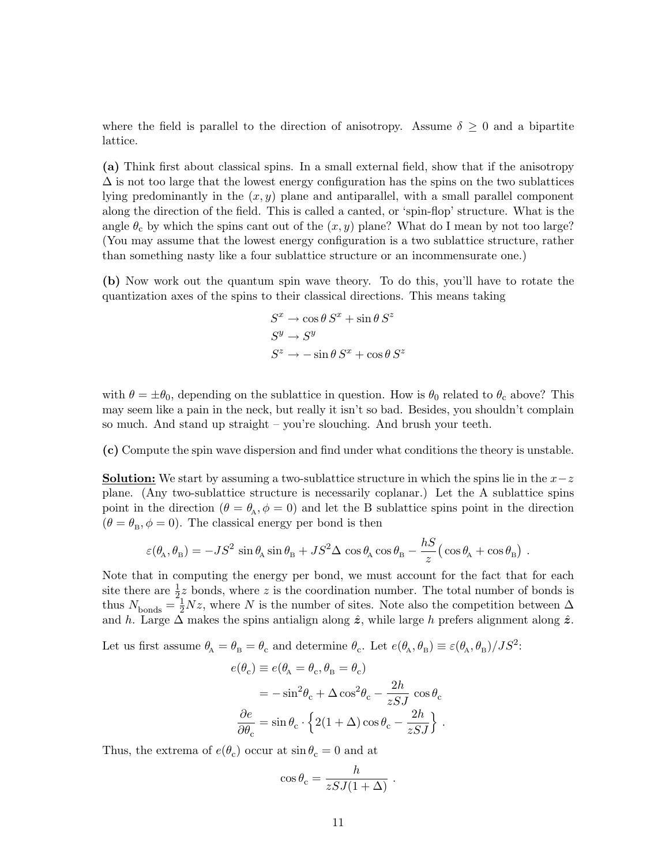where the field is parallel to the direction of anisotropy. Assume  $\delta \geq 0$  and a bipartite lattice.

(a) Think first about classical spins. In a small external field, show that if the anisotropy  $\Delta$  is not too large that the lowest energy configuration has the spins on the two sublattices lying predominantly in the  $(x, y)$  plane and antiparallel, with a small parallel component along the direction of the field. This is called a canted, or 'spin-flop' structure. What is the angle  $\theta_c$  by which the spins cant out of the  $(x, y)$  plane? What do I mean by not too large? (You may assume that the lowest energy configuration is a two sublattice structure, rather than something nasty like a four sublattice structure or an incommensurate one.)

(b) Now work out the quantum spin wave theory. To do this, you'll have to rotate the quantization axes of the spins to their classical directions. This means taking

$$
S^x \to \cos \theta S^x + \sin \theta S^z
$$
  

$$
S^y \to S^y
$$
  

$$
S^z \to -\sin \theta S^x + \cos \theta S^z
$$

with  $\theta = \pm \theta_0$ , depending on the sublattice in question. How is  $\theta_0$  related to  $\theta_c$  above? This may seem like a pain in the neck, but really it isn't so bad. Besides, you shouldn't complain so much. And stand up straight – you're slouching. And brush your teeth.

(c) Compute the spin wave dispersion and find under what conditions the theory is unstable.

**Solution:** We start by assuming a two-sublattice structure in which the spins lie in the  $x-z$ plane. (Any two-sublattice structure is necessarily coplanar.) Let the A sublattice spins point in the direction  $(\theta = \theta_A, \phi = 0)$  and let the B sublattice spins point in the direction  $(\theta = \theta_{\rm B}, \phi = 0)$ . The classical energy per bond is then

$$
\varepsilon(\theta_A, \theta_B) = -JS^2 \sin \theta_A \sin \theta_B + JS^2 \Delta \cos \theta_A \cos \theta_B - \frac{hS}{z} (\cos \theta_A + \cos \theta_B) .
$$

Note that in computing the energy per bond, we must account for the fact that for each site there are  $\frac{1}{2}z$  bonds, where z is the coordination number. The total number of bonds is thus  $N_{\text{bonds}} = \frac{1}{2}Nz$ , where N is the number of sites. Note also the competition between  $\Delta$ and h. Large  $\Delta$  makes the spins antialign along  $\hat{z}$ , while large h prefers alignment along  $\hat{z}$ .

Let us first assume  $\theta_A = \theta_B = \theta_c$  and determine  $\theta_c$ . Let  $e(\theta_A, \theta_B) \equiv \varepsilon(\theta_A, \theta_B)/JS^2$ :

$$
e(\theta_{\rm c}) \equiv e(\theta_{\rm A} = \theta_{\rm c}, \theta_{\rm B} = \theta_{\rm c})
$$
  
=  $-\sin^2 \theta_{\rm c} + \Delta \cos^2 \theta_{\rm c} - \frac{2h}{zSJ} \cos \theta_{\rm c}$   
 $\frac{\partial e}{\partial \theta_{\rm c}} = \sin \theta_{\rm c} \cdot \left\{ 2(1 + \Delta) \cos \theta_{\rm c} - \frac{2h}{zSJ} \right\}.$ 

Thus, the extrema of  $e(\theta_c)$  occur at  $\sin \theta_c = 0$  and at

$$
\cos\theta_{\rm c} = \frac{h}{zSJ(1+\Delta)} \ .
$$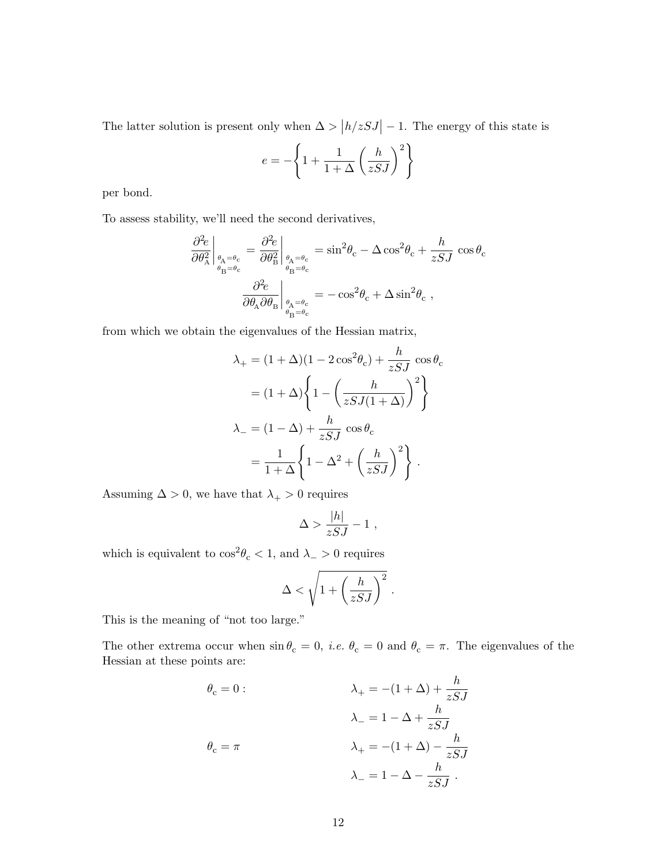The latter solution is present only when  $\Delta > |h/zSJ| - 1$ . The energy of this state is

$$
e = -\left\{1 + \frac{1}{1+\Delta} \left(\frac{h}{zSJ}\right)^2\right\}
$$

per bond.

To assess stability, we'll need the second derivatives,

$$
\frac{\partial^2 e}{\partial \theta_{\rm A}^2}\bigg|_{\theta_{\rm A}=\theta_{\rm c}} = \frac{\partial^2 e}{\partial \theta_{\rm B}^2}\bigg|_{\theta_{\rm A}=\theta_{\rm c}} = \sin^2 \theta_{\rm c} - \Delta \cos^2 \theta_{\rm c} + \frac{h}{z SJ} \cos \theta_{\rm c}
$$

$$
\frac{\partial^2 e}{\partial \theta_{\rm A} \partial \theta_{\rm B}}\bigg|_{\theta_{\rm A}=\theta_{\rm c}} = -\cos^2 \theta_{\rm c} + \Delta \sin^2 \theta_{\rm c} ,
$$

from which we obtain the eigenvalues of the Hessian matrix,

$$
\lambda_{+} = (1 + \Delta)(1 - 2\cos^{2}\theta_{c}) + \frac{h}{zSJ}\cos\theta_{c}
$$

$$
= (1 + \Delta)\left\{1 - \left(\frac{h}{zSJ(1 + \Delta)}\right)^{2}\right\}
$$

$$
\lambda_{-} = (1 - \Delta) + \frac{h}{zSJ}\cos\theta_{c}
$$

$$
= \frac{1}{1 + \Delta}\left\{1 - \Delta^{2} + \left(\frac{h}{zSJ}\right)^{2}\right\}.
$$

Assuming  $\Delta>0,$  we have that  $\lambda_+>0$  requires

$$
\Delta > \frac{|h|}{zSJ} - 1 \;,
$$

which is equivalent to  $\cos^2 \theta_c < 1$ , and  $\lambda_{-} > 0$  requires

$$
\Delta < \sqrt{1 + \left(\frac{h}{zSJ}\right)^2} \; .
$$

This is the meaning of "not too large."

The other extrema occur when  $\sin \theta_c = 0$ , *i.e.*  $\theta_c = 0$  and  $\theta_c = \pi$ . The eigenvalues of the Hessian at these points are:

$$
\theta_{\rm c}=0: \hspace{1in} \lambda_{+} = -(1+\Delta) + \frac{h}{zSJ} \label{eq:22}
$$
  

$$
\lambda_{-} = 1-\Delta + \frac{h}{zSJ} \label{eq:23}
$$
  

$$
\theta_{\rm c} = \pi \hspace{1in} \lambda_{+} = -(1+\Delta) - \frac{h}{zSJ} \label{eq:24}
$$
  

$$
\lambda_{-} = 1-\Delta - \frac{h}{zSJ} \ .
$$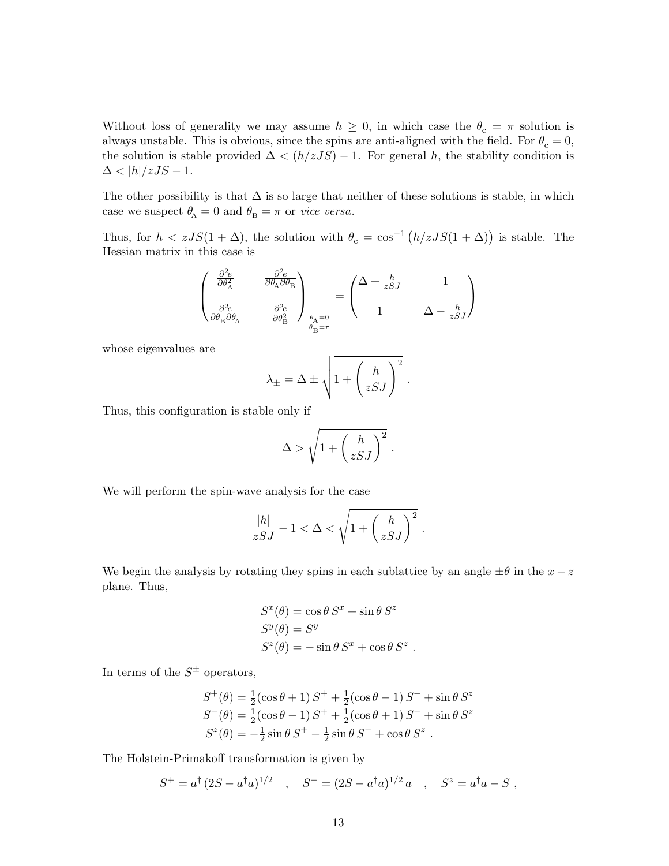Without loss of generality we may assume  $h \geq 0$ , in which case the  $\theta_c = \pi$  solution is always unstable. This is obvious, since the spins are anti-aligned with the field. For  $\theta_c = 0$ , the solution is stable provided  $\Delta < (h/zJS) - 1$ . For general h, the stability condition is  $\Delta < |h|/zJS - 1.$ 

The other possibility is that  $\Delta$  is so large that neither of these solutions is stable, in which case we suspect  $\theta_{\rm A} = 0$  and  $\theta_{\rm B} = \pi$  or *vice versa*.

Thus, for  $h < zJS(1+\Delta)$ , the solution with  $\theta_c = \cos^{-1}(h/zJS(1+\Delta))$  is stable. The Hessian matrix in this case is

$$
\begin{pmatrix} \frac{\partial^2 e}{\partial \theta_{\rm A}^2} & \frac{\partial^2 e}{\partial \theta_{\rm A} \partial \theta_{\rm B}} \\ \\ \frac{\partial^2 e}{\partial \theta_{\rm B} \partial \theta_{\rm A}} & \frac{\partial^2 e}{\partial \theta_{\rm B}^2} \end{pmatrix}_{\substack{\theta_{\rm A}=0 \\ \theta_{\rm B}=\pi}} = \begin{pmatrix} \Delta + \frac{h}{z S J} & 1 \\ \\ 1 & \Delta - \frac{h}{z S J} \end{pmatrix}
$$

whose eigenvalues are

$$
\lambda_{\pm} = \Delta \pm \sqrt{1 + \left(\frac{h}{zSJ}\right)^2}.
$$

Thus, this configuration is stable only if

$$
\Delta > \sqrt{1 + \left(\frac{h}{zSJ}\right)^2} \; .
$$

We will perform the spin-wave analysis for the case

$$
\frac{|h|}{zSJ} - 1 < \Delta < \sqrt{1 + \left(\frac{h}{zSJ}\right)^2} \; .
$$

We begin the analysis by rotating they spins in each sublattice by an angle  $\pm\theta$  in the  $x-z$ plane. Thus,

$$
S^{x}(\theta) = \cos \theta S^{x} + \sin \theta S^{z}
$$
  

$$
S^{y}(\theta) = S^{y}
$$
  

$$
S^{z}(\theta) = -\sin \theta S^{x} + \cos \theta S^{z}
$$

.

In terms of the  $S^{\pm}$  operators,

$$
S^{+}(\theta) = \frac{1}{2}(\cos \theta + 1) S^{+} + \frac{1}{2}(\cos \theta - 1) S^{-} + \sin \theta S^{z}
$$
  
\n
$$
S^{-}(\theta) = \frac{1}{2}(\cos \theta - 1) S^{+} + \frac{1}{2}(\cos \theta + 1) S^{-} + \sin \theta S^{z}
$$
  
\n
$$
S^{z}(\theta) = -\frac{1}{2} \sin \theta S^{+} - \frac{1}{2} \sin \theta S^{-} + \cos \theta S^{z}
$$
.

The Holstein-Primakoff transformation is given by

$$
S^+ = a^{\dagger} (2S - a^{\dagger} a)^{1/2}
$$
,  $S^- = (2S - a^{\dagger} a)^{1/2} a$ ,  $S^z = a^{\dagger} a - S$ ,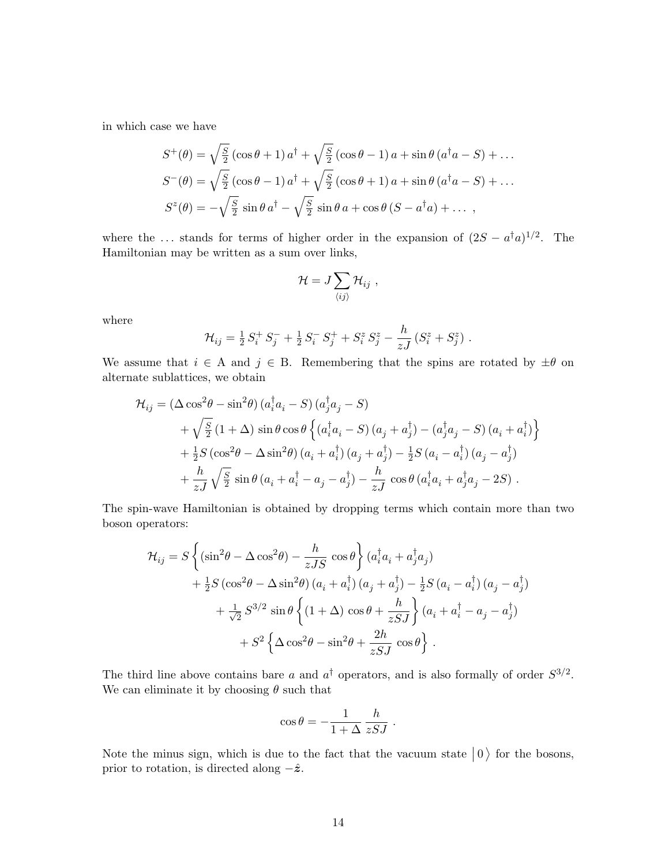in which case we have

$$
S^+(\theta) = \sqrt{\frac{S}{2}} \left(\cos\theta + 1\right) a^\dagger + \sqrt{\frac{S}{2}} \left(\cos\theta - 1\right) a + \sin\theta \left(a^\dagger a - S\right) + \dots
$$
  

$$
S^-(\theta) = \sqrt{\frac{S}{2}} \left(\cos\theta - 1\right) a^\dagger + \sqrt{\frac{S}{2}} \left(\cos\theta + 1\right) a + \sin\theta \left(a^\dagger a - S\right) + \dots
$$
  

$$
S^z(\theta) = -\sqrt{\frac{S}{2}} \sin\theta a^\dagger - \sqrt{\frac{S}{2}} \sin\theta a + \cos\theta \left(S - a^\dagger a\right) + \dots,
$$

where the ... stands for terms of higher order in the expansion of  $(2S - a^{\dagger}a)^{1/2}$ . The Hamiltonian may be written as a sum over links,

$$
\mathcal{H}=J\sum_{\langle ij\rangle}\mathcal{H}_{ij}\ ,
$$

where

$$
\mathcal{H}_{ij} = \frac{1}{2} S_i^+ S_j^- + \frac{1}{2} S_i^- S_j^+ + S_i^z S_j^z - \frac{h}{zJ} \left( S_i^z + S_j^z \right) .
$$

We assume that  $i \in A$  and  $j \in B$ . Remembering that the spins are rotated by  $\pm \theta$  on alternate sublattices, we obtain

$$
\mathcal{H}_{ij} = (\Delta \cos^2 \theta - \sin^2 \theta) (a_i^{\dagger} a_i - S) (a_j^{\dagger} a_j - S)
$$
  
+  $\sqrt{\frac{S}{2}} (1 + \Delta) \sin \theta \cos \theta \left\{ (a_i^{\dagger} a_i - S) (a_j + a_j^{\dagger}) - (a_j^{\dagger} a_j - S) (a_i + a_i^{\dagger}) \right\}$   
+  $\frac{1}{2} S (\cos^2 \theta - \Delta \sin^2 \theta) (a_i + a_i^{\dagger}) (a_j + a_j^{\dagger}) - \frac{1}{2} S (a_i - a_i^{\dagger}) (a_j - a_j^{\dagger})$   
+  $\frac{h}{zJ} \sqrt{\frac{S}{2}} \sin \theta (a_i + a_i^{\dagger} - a_j - a_j^{\dagger}) - \frac{h}{zJ} \cos \theta (a_i^{\dagger} a_i + a_j^{\dagger} a_j - 2S)$ .

The spin-wave Hamiltonian is obtained by dropping terms which contain more than two boson operators:

$$
\mathcal{H}_{ij} = S \left\{ (\sin^2 \theta - \Delta \cos^2 \theta) - \frac{h}{zJS} \cos \theta \right\} (a_i^\dagger a_i + a_j^\dagger a_j) \n+ \frac{1}{2} S (\cos^2 \theta - \Delta \sin^2 \theta) (a_i + a_i^\dagger) (a_j + a_j^\dagger) - \frac{1}{2} S (a_i - a_i^\dagger) (a_j - a_j^\dagger) \n+ \frac{1}{\sqrt{2}} S^{3/2} \sin \theta \left\{ (1 + \Delta) \cos \theta + \frac{h}{zSJ} \right\} (a_i + a_i^\dagger - a_j - a_j^\dagger) \n+ S^2 \left\{ \Delta \cos^2 \theta - \sin^2 \theta + \frac{2h}{zSJ} \cos \theta \right\} .
$$

The third line above contains bare a and  $a^{\dagger}$  operators, and is also formally of order  $S^{3/2}$ . We can eliminate it by choosing  $\theta$  such that

$$
\cos \theta = -\frac{1}{1+\Delta} \frac{h}{zSJ} .
$$

Note the minus sign, which is due to the fact that the vacuum state  $|0\rangle$  for the bosons, prior to rotation, is directed along  $-\hat{z}$ .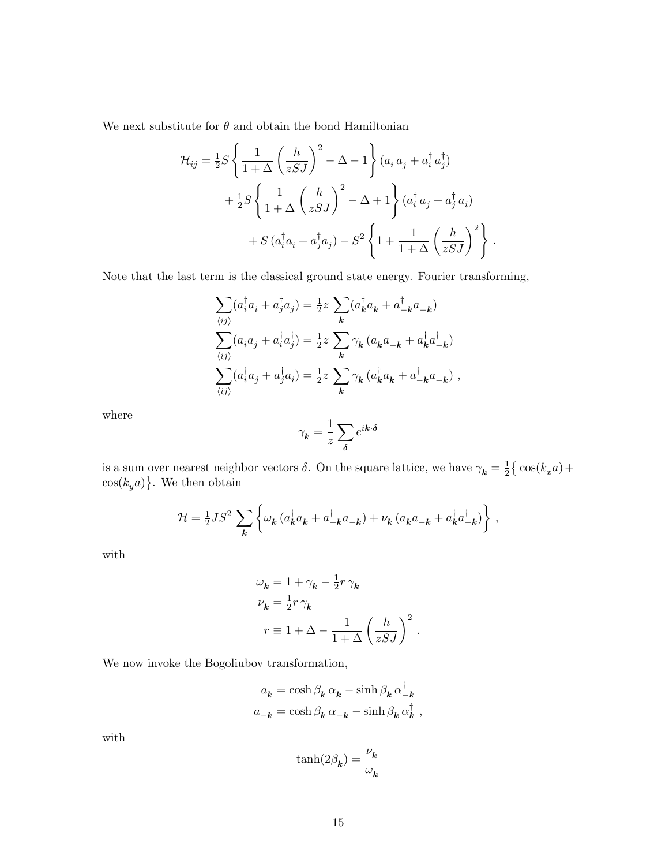We next substitute for  $\theta$  and obtain the bond Hamiltonian

$$
\mathcal{H}_{ij} = \frac{1}{2}S \left\{ \frac{1}{1+\Delta} \left( \frac{h}{zSJ} \right)^2 - \Delta - 1 \right\} (a_i a_j + a_i^{\dagger} a_j^{\dagger}) \n+ \frac{1}{2}S \left\{ \frac{1}{1+\Delta} \left( \frac{h}{zSJ} \right)^2 - \Delta + 1 \right\} (a_i^{\dagger} a_j + a_j^{\dagger} a_i) \n+ S (a_i^{\dagger} a_i + a_j^{\dagger} a_j) - S^2 \left\{ 1 + \frac{1}{1+\Delta} \left( \frac{h}{zSJ} \right)^2 \right\} .
$$

Note that the last term is the classical ground state energy. Fourier transforming,

$$
\sum_{\langle ij \rangle} (a_i^{\dagger} a_i + a_j^{\dagger} a_j) = \frac{1}{2} z \sum_{\mathbf{k}} (a_{\mathbf{k}}^{\dagger} a_{\mathbf{k}} + a_{-\mathbf{k}}^{\dagger} a_{-\mathbf{k}})
$$
  

$$
\sum_{\langle ij \rangle} (a_i a_j + a_i^{\dagger} a_j^{\dagger}) = \frac{1}{2} z \sum_{\mathbf{k}} \gamma_{\mathbf{k}} (a_{\mathbf{k}} a_{-\mathbf{k}} + a_{\mathbf{k}}^{\dagger} a_{-\mathbf{k}}^{\dagger})
$$
  

$$
\sum_{\langle ij \rangle} (a_i^{\dagger} a_j + a_j^{\dagger} a_i) = \frac{1}{2} z \sum_{\mathbf{k}} \gamma_{\mathbf{k}} (a_{\mathbf{k}}^{\dagger} a_{\mathbf{k}} + a_{-\mathbf{k}}^{\dagger} a_{-\mathbf{k}}),
$$

where

$$
\gamma_{\pmb{k}} = \frac{1}{z} \sum_{\pmb{\delta}} e^{i\pmb{k} \cdot \pmb{\delta}}
$$

is a sum over nearest neighbor vectors  $\delta$ . On the square lattice, we have  $\gamma_{\mathbf{k}} = \frac{1}{2}$  $\frac{1}{2} \big\{ \cos(k_x a) +$  $\cos(k_y a)$ . We then obtain

$$
\mathcal{H} = \frac{1}{2}JS^2 \sum_{\mathbf{k}} \left\{ \omega_{\mathbf{k}} \left( a_{\mathbf{k}}^{\dagger} a_{\mathbf{k}} + a_{-\mathbf{k}}^{\dagger} a_{-\mathbf{k}} \right) + \nu_{\mathbf{k}} \left( a_{\mathbf{k}} a_{-\mathbf{k}} + a_{\mathbf{k}}^{\dagger} a_{-\mathbf{k}}^{\dagger} \right) \right\},\,
$$

with

$$
\omega_{\mathbf{k}} = 1 + \gamma_{\mathbf{k}} - \frac{1}{2}r\,\gamma_{\mathbf{k}}
$$
  

$$
\nu_{\mathbf{k}} = \frac{1}{2}r\,\gamma_{\mathbf{k}}
$$
  

$$
r \equiv 1 + \Delta - \frac{1}{1 + \Delta} \left(\frac{h}{zSJ}\right)^2.
$$

We now invoke the Bogoliubov transformation,

$$
\begin{aligned} a_{\pmb{k}}&=\cosh\beta_{\pmb{k}}\,\alpha_{\pmb{k}}-\sinh\beta_{\pmb{k}}\,\alpha^\dagger_{-\pmb{k}}\\ a_{-\pmb{k}}&=\cosh\beta_{\pmb{k}}\,\alpha_{-\pmb{k}}-\sinh\beta_{\pmb{k}}\,\alpha^\dagger_{\pmb{k}}\ , \end{aligned}
$$

with

$$
\tanh(2\beta_{\pmb{k}})=\frac{\nu_{\pmb{k}}}{\omega_{\pmb{k}}}
$$